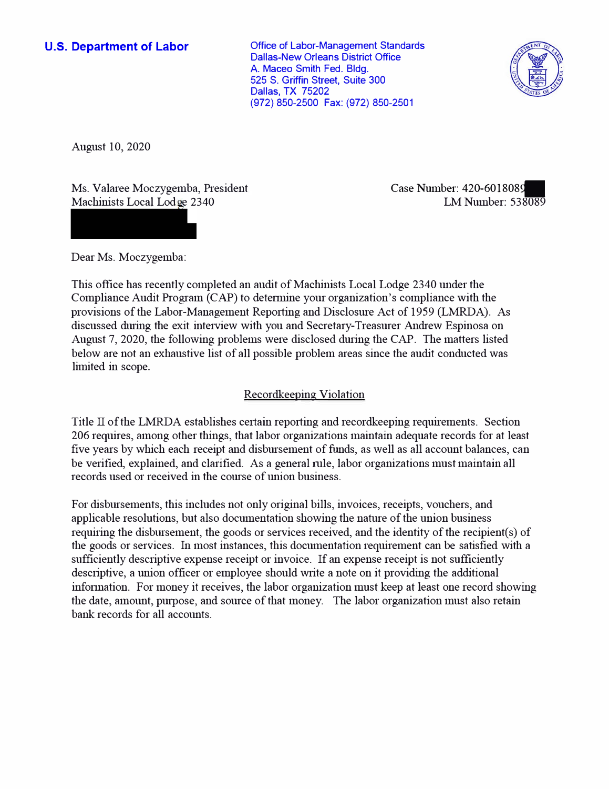**U.S. Department of Labor Conservative Conservative Conservative Conservative Conservative Conservative Conservative Conservative Conservative Conservative Conservative Conservative Conservative Conservative Conservative** Dallas-New Orleans District Office A. Maceo Smith Fed. Bldg. 525 S. Griffin Street, Suite 300 Dallas, TX 75202 (972) 850-2500 Fax: (972) 850-2501



August 10, 2020

Ms. Valaree Moczygemba, President Case Number: 420-6018089<br>Machinists Local Lodge 2340 LM Number: 538089 Machinists Local Lodge 2340

Dear Ms. Moczygemba:

This office has recently completed an audit of Machinists Local Lodge 2340 under the Compliance Audit Program (CAP) to detennine your organization's compliance with the provisions of the Labor-Management Reporting and Disclosure Act of 1959 (LMRDA). As discussed during the exit interview with you and Secretary-Treasurer Andrew Espinosa on August 7, 2020, the following problems were disclosed during the CAP. The matters listed below are not an exhaustive list of all possible problem areas since the audit conducted was limited in scope.

## Recordkeeping Violation

Title  $\Pi$  of the LMRDA establishes certain reporting and record keeping requirements. Section 206 requires, among other things, that labor organizations maintain adequate records for at least five years by which each receipt and disbursement of funds, as well as all account balances, can be verified, explained, and clarified. As a general rule, labor organizations must maintain all records used or received in the course of union business.

For disbursements, this includes not only original bills, invoices, receipts, vouchers, and applicable resolutions, but also documentation showing the nature of the union business requiring the disbursement, the goods or services received, and the identity of the recipient(s) of the goods or services. fu most instances, this documentation requirement can be satisfied with a sufficiently descriptive expense receipt or invoice. If an expense receipt is not sufficiently descriptive, a union officer or employee should write a note on it providing the additional infonnation. For money it receives, the labor organization must keep at least one record showing the date, amount, purpose, and source of that money. The labor organization must also retain bank records for all accounts.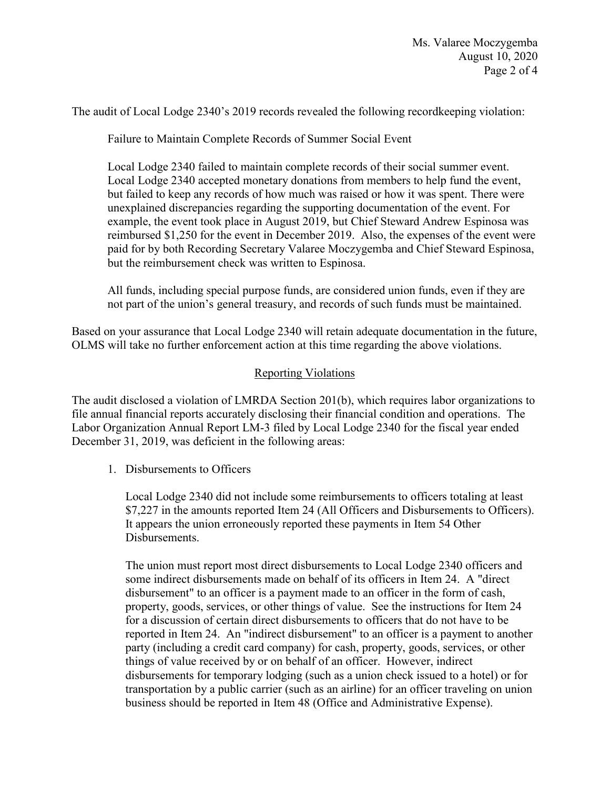The audit of Local Lodge 2340's 2019 records revealed the following recordkeeping violation:

Failure to Maintain Complete Records of Summer Social Event

Local Lodge 2340 failed to maintain complete records of their social summer event. Local Lodge 2340 accepted monetary donations from members to help fund the event, but failed to keep any records of how much was raised or how it was spent. There were unexplained discrepancies regarding the supporting documentation of the event. For example, the event took place in August 2019, but Chief Steward Andrew Espinosa was reimbursed \$1,250 for the event in December 2019. Also, the expenses of the event were paid for by both Recording Secretary Valaree Moczygemba and Chief Steward Espinosa, but the reimbursement check was written to Espinosa.

All funds, including special purpose funds, are considered union funds, even if they are not part of the union's general treasury, and records of such funds must be maintained.

Based on your assurance that Local Lodge 2340 will retain adequate documentation in the future, OLMS will take no further enforcement action at this time regarding the above violations.

## Reporting Violations

 Labor Organization Annual Report LM-3 filed by Local Lodge 2340 for the fiscal year ended The audit disclosed a violation of LMRDA Section 201(b), which requires labor organizations to file annual financial reports accurately disclosing their financial condition and operations. The December 31, 2019, was deficient in the following areas:

1. Disbursements to Officers

Local Lodge 2340 did not include some reimbursements to officers totaling at least \$7,227 in the amounts reported Item 24 (All Officers and Disbursements to Officers). It appears the union erroneously reported these payments in Item 54 Other Disbursements.

 disbursement" to an officer is a payment made to an officer in the form of cash, disbursements for temporary lodging (such as a union check issued to a hotel) or for transportation by a public carrier (such as an airline) for an officer traveling on union The union must report most direct disbursements to Local Lodge 2340 officers and some indirect disbursements made on behalf of its officers in Item 24. A "direct property, goods, services, or other things of value. See the instructions for Item 24 for a discussion of certain direct disbursements to officers that do not have to be reported in Item 24. An "indirect disbursement" to an officer is a payment to another party (including a credit card company) for cash, property, goods, services, or other things of value received by or on behalf of an officer. However, indirect business should be reported in Item 48 (Office and Administrative Expense).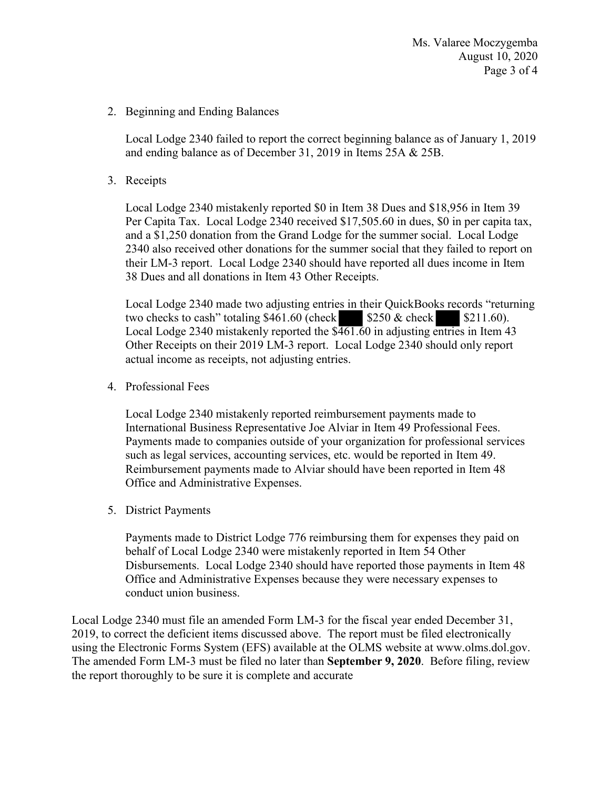2. Beginning and Ending Balances

 Local Lodge 2340 failed to report the correct beginning balance as of January 1, 2019 and ending balance as of December 31, 2019 in Items 25A & 25B.

3. Receipts

 Per Capita Tax. Local Lodge 2340 received \$[17,505.60](https://17,505.60) in dues, \$0 in per capita tax, and a \$1,250 donation from the Grand Lodge for the summer social. Local Lodge Local Lodge 2340 mistakenly reported \$0 in Item 38 Dues and \$18,956 in Item 39 2340 also received other donations for the summer social that they failed to report on their LM-3 report. Local Lodge 2340 should have reported all dues income in Item 38 Dues and all donations in Item 43 Other Receipts.

 Other Receipts on their 2019 LM-3 report. Local Lodge 2340 should only report es in their QuickBooks res<br>\$250 & check<br>461.60 in adjusting entrie<br>cocal Lodge 2340 should Local Lodge 2340 made two adjusting entries in their QuickBooks records "returning two checks to cash" totaling  $$461.60$  (check  $$250 \&$  check  $$211.60$ ). Local Lodge 2340 mistakenly reported the  $\sqrt[5]{\frac{461.60}{n}}$  in adjusting entries in Item 43 actual income as receipts, not adjusting entries.

4. Professional Fees

 International Business Representative Joe Alviar in Item 49 Professional Fees. Local Lodge 2340 mistakenly reported reimbursement payments made to Payments made to companies outside of your organization for professional services such as legal services, accounting services, etc. would be reported in Item 49. Reimbursement payments made to Alviar should have been reported in Item 48 Office and Administrative Expenses.

5. District Payments

Payments made to District Lodge 776 reimbursing them for expenses they paid on behalf of Local Lodge 2340 were mistakenly reported in Item 54 Other Disbursements. Local Lodge 2340 should have reported those payments in Item 48 Office and Administrative Expenses because they were necessary expenses to conduct union business.

 Local Lodge 2340 must file an amended Form LM-3 for the fiscal year ended December 31, using the Electronic Forms System (EFS) available at the OLMS website at www.olms.dol.gov. 2019, to correct the deficient items discussed above. The report must be filed electronically The amended Form LM-3 must be filed no later than **September 9, 2020**. Before filing, review. the report thoroughly to be sure it is complete and accurate